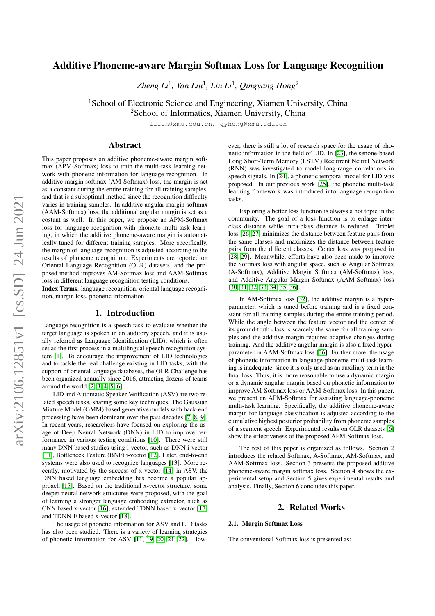# Additive Phoneme-aware Margin Softmax Loss for Language Recognition

*Zheng Li*<sup>1</sup> *, Yan Liu*<sup>1</sup> *, Lin Li*<sup>1</sup> *, Qingyang Hong*<sup>2</sup>

<sup>1</sup>School of Electronic Science and Engineering, Xiamen University, China

<sup>2</sup>School of Informatics, Xiamen University, China

lilin@xmu.edu.cn, qyhong@xmu.edu.cn

## Abstract

This paper proposes an additive phoneme-aware margin softmax (APM-Softmax) loss to train the multi-task learning network with phonetic information for language recognition. In additive margin softmax (AM-Softmax) loss, the margin is set as a constant during the entire training for all training samples, and that is a suboptimal method since the recognition difficulty varies in training samples. In additive angular margin softmax (AAM-Softmax) loss, the additional angular margin is set as a costant as well. In this paper, we propose an APM-Softmax loss for language recognition with phoneitc multi-task learning, in which the additive phoneme-aware margin is automatically tuned for different training samples. More specifically, the margin of language recognition is adjusted according to the results of phoneme recognition. Experiments are reported on Oriental Language Recognition (OLR) datasets, and the proposed method improves AM-Softmax loss and AAM-Softmax loss in different language recognition testing conditions.

Index Terms: language recognition, oriental language recognition, margin loss, phonetic information

### 1. Introduction

Language recognition is a speech task to evaluate whether the target language is spoken in an auditory speech, and it is usually referred as Language Identification (LID), which is often set as the first process in a multilingual speech recognition system [\[1\]](#page-4-0). To encourage the improvement of LID technologies and to tackle the real challenge existing in LID tasks, with the support of oriental language databases, the OLR Challenge has been organized annually since 2016, attracting dozens of teams around the world [\[2,](#page-4-1) [3,](#page-4-2) [4,](#page-4-3) [5,](#page-4-4) [6\]](#page-4-5).

LID and Automatic Speaker Verification (ASV) are two related speech tasks, sharing some key techniques. The Gaussian Mixture Model (GMM) based generative models with back-end processing have been dominant over the past decades [\[7,](#page-4-6) [8,](#page-4-7) [9\]](#page-4-8). In recent years, researchers have focused on exploring the usage of Deep Neural Network (DNN) in LID to improve performance in various testing conditions [\[10\]](#page-4-9). There were still many DNN based studies using i-vector, such as DNN i-vector [\[11\]](#page-4-10), Bottleneck Feature (BNF) i-vector [\[12\]](#page-4-11). Later, end-to-end systems were also used to recognize languages [\[13\]](#page-4-12). More recently, motivated by the success of x-vector [\[14\]](#page-4-13) in ASV, the DNN based language embedding has become a popular approach [\[15\]](#page-4-14). Based on the traditional x-vector structure, some deeper neural network structures were proposed, with the goal of learning a stronger language embedding extractor, such as CNN based x-vector [\[16\]](#page-4-15), extended TDNN based x-vector [\[17\]](#page-4-16) and TDNN-F based x-vector [\[18\]](#page-4-17).

The usage of phonetic information for ASV and LID tasks has also been studied. There is a variety of learning strategies of phonetic information for ASV [\[11,](#page-4-10) [19,](#page-4-18) [20,](#page-4-19) [21,](#page-4-20) [22\]](#page-4-21). However, there is still a lot of research space for the usage of phonetic information in the field of LID. In [\[23\]](#page-4-22), the senone-based Long Short-Term Memory (LSTM) Recurrent Neural Network (RNN) was investigated to model long-range correlations in speech signals. In [\[24\]](#page-4-23), a phonetic temporal model for LID was proposed. In our previous work [\[25\]](#page-4-24), the phonetic multi-task learning framework was introduced into language recognition tasks.

Exploring a better loss function is always a hot topic in the community. The goal of a loss function is to enlarge interclass distance while intra-class distance is reduced. Triplet loss [\[26,](#page-4-25) [27\]](#page-4-26) minimizes the distance between feature pairs from the same classes and maximizes the distance between feature pairs from the different classes. Center loss was proposed in [\[28,](#page-4-27) [29\]](#page-4-28). Meanwhile, efforts have also been made to improve the Softmax loss with angular space, such as Angular Softmax (A-Softmax), Additive Margin Softmax (AM-Softmax) loss, and Additive Angular Margin Softmax (AAM-Softmax) loss [\[30,](#page-4-29) [31,](#page-4-30) [32,](#page-4-31) [33,](#page-4-32) [34,](#page-4-33) [35,](#page-4-34) [36\]](#page-4-35).

In AM-Softmax loss [\[32\]](#page-4-31), the additive margin is a hyperparameter, which is tuned before training and is a fixed constant for all training samples during the entire training period. While the angle between the feature vector and the center of its ground-truth class is scarcely the same for all training samples and the additive margin requires adaptive changes during training. And the additive angular margin is also a fixed hyperparameter in AAM-Softmax loss [\[36\]](#page-4-35). Further more, the usage of phonetic information in language-phoneme multi-task learning is inadequate, since it is only used as an auxiliary term in the final loss. Thus, it is more reasonable to use a dynamic margin or a dynamic angular margin based on phonetic information to improve AM-Softmax loss or AAM-Softmax loss. In this paper, we present an APM-Softmax for assisting language-phoneme multi-task learning. Specifically, the additive phoneme-aware margin for language classification is adjusted according to the cumulative highest posterior probability from phoneme samples of a segment speech. Experimental results on OLR datasets [\[6\]](#page-4-5) show the effectiveness of the proposed APM-Softmax loss.

The rest of this paper is organized as follows. Section 2 introduces the related Softmax, A-Softmax, AM-Softmax, and AAM-Softmax loss. Section 3 presents the proposed additive phoneme-aware margin softmax loss. Section 4 shows the experimental setup and Section 5 gives experimental results and analysis. Finally, Section 6 concludes this paper.

## 2. Related Works

### 2.1. Margin Softmax Loss

The conventional Softmax loss is presented as: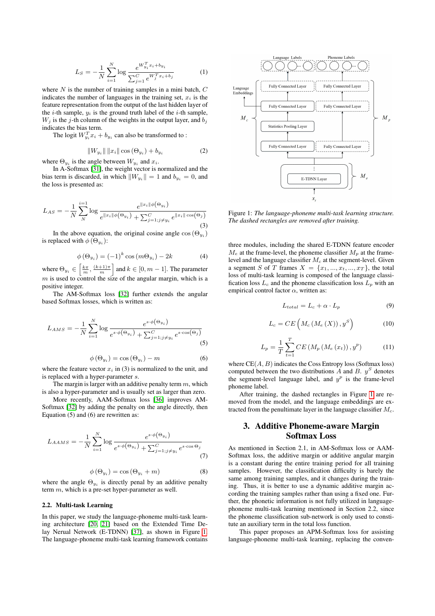$$
L_S = -\frac{1}{N} \sum_{i=1}^{N} \log \frac{e^{W_{y_i}^T x_i + b_{y_i}}}{\sum_{j=1}^{C} e^{W_j^T x_i + b_j}}
$$
(1)

where  $N$  is the number of training samples in a mini batch,  $C$ indicates the number of languages in the training set,  $x_i$  is the feature representation from the output of the last hidden layer of the *i*-th sample,  $y_i$  is the ground truth label of the *i*-th sample,  $W_i$  is the j-th column of the weights in the output layer, and  $b_i$ indicates the bias term.

The logit  $W_{y_i}^T x_i + b_{y_i}$  can also be transformed to :

$$
||W_{y_i}|| \, ||x_i|| \cos (\Theta_{y_i}) + b_{y_i}
$$
 (2)

where  $\Theta_{y_i}$  is the angle between  $W_{y_i}$  and  $x_i$ .

In A-Softmax [\[31\]](#page-4-30), the weight vector is normalized and the bias term is discarded, in which  $||W_{y_i}|| = 1$  and  $b_{y_i} = 0$ , and the loss is presented as:

$$
L_{AS} = -\frac{1}{N} \sum_{N}^{i=1} \log \frac{e^{\|x_i\| \phi(\Theta_{y_i})}}{e^{\|x_i\| \phi(\Theta_{y_i})} + \sum_{j=1; j \neq y_i}^{C} e^{\|x_i\| \cos(\Theta_j)}}
$$
(3)

In the above equation, the original cosine angle  $cos(\Theta_{y_i})$ is replaced with  $\phi(\Theta_{y_i})$ :

$$
\phi\left(\Theta_{y_i}\right) = (-1)^k \cos\left(m\Theta_{y_i}\right) - 2k\tag{4}
$$

where  $\Theta_{y_i} \in \left[\frac{k\pi}{m}, \frac{(k+1)\pi}{m}\right]$  and  $k \in [0, m-1]$ . The parameter  $m$  is used to control the size of the angular margin, which is a positive integer.

The AM-Softmax loss [\[32\]](#page-4-31) further extends the angular based Softmax losses, which is written as:

$$
L_{AMS} = -\frac{1}{N} \sum_{i=1}^{N} \log \frac{e^{s \cdot \phi(\Theta_{y_i})}}{e^{s \cdot \phi(\Theta_{y_i})} + \sum_{j=1; j \neq y_i}^{C} e^{s \cdot \cos(\Theta_j)}} \tag{5}
$$

$$
\phi\left(\Theta_{y_i}\right) = \cos\left(\Theta_{y_i}\right) - m \tag{6}
$$

where the feature vector  $x_i$  in (3) is normalized to the unit, and is replaced with a hyper-parameter s.

The margin is larger with an additive penalty term  $m$ , which is also a hyper-parameter and is usually set as larger than zero.

More recently, AAM-Softmax loss [\[36\]](#page-4-35) improves AM-Softmax [\[32\]](#page-4-31) by adding the penalty on the angle directly, then Equation (5) and (6) are rewritten as:

$$
L_{AAMS} = -\frac{1}{N} \sum_{i=1}^{N} \log \frac{e^{s \cdot \phi(\Theta_{y_i})}}{e^{s \cdot \phi(\Theta_{y_i})} + \sum_{j=1; j \neq y_i}^{C} e^{s \cdot \cos \Theta_j}}
$$
(7)

$$
\phi(\Theta_{y_i}) = \cos(\Theta_{y_i} + m) \tag{8}
$$

where the angle  $\Theta_{y_i}$  is directly penal by an additive penalty term  $m$ , which is a pre-set hyper-parameter as well.

#### 2.2. Multi-task Learning

In this paper, we study the language-phoneme multi-task learning architecture [\[20,](#page-4-19) [21\]](#page-4-20) based on the Extended Time Delay Nerual Network (E-TDNN) [\[37\]](#page-4-36), as shown in Figure [1.](#page-1-0) The language-phoneme multi-task learning framework contains

<span id="page-1-0"></span>

Figure 1: *The language-phoneme multi-task learning structure. The dashed rectangles are removed after training.*

three modules, including the shared E-TDNN feature encoder  $M_e$  at the frame-level, the phoneme classifier  $M_p$  at the framelevel and the language classifier  $M_c$  at the segment-level. Given a segment S of T frames  $X = \{x_1, ..., x_t, ..., x_T\}$ , the total loss of multi-task learning is composed of the language classification loss  $L_c$  and the phoneme classification loss  $L_p$  with an empirical control factor  $\alpha$ , written as:

$$
L_{total} = L_c + \alpha \cdot L_p \tag{9}
$$

$$
L_c = CE\left(M_c\left(M_e\left(X\right)\right), y^S\right) \tag{10}
$$

$$
L_{p} = \frac{1}{T} \sum_{t=1}^{T} CE\left(M_{p}\left(M_{e}\left(x_{t}\right)\right), y^{p}\right) \tag{11}
$$

where  $CE(A, B)$  indicates the Coss Entropy loss (Softmax loss) computed between the two distributions  $A$  and  $B$ .  $y^S$  denotes the segment-level language label, and  $y^p$  is the frame-level phoneme label.

After training, the dashed rectangles in Figure [1](#page-1-0) are removed from the model, and the language embeddings are extracted from the penultimate layer in the language classifier  $M_c$ .

## 3. Additive Phoneme-aware Margin Softmax Loss

As mentioned in Section 2.1, in AM-Softmax loss or AAM-Softmax loss, the additive margin or additive angular margin is a constant during the entire training period for all training samples. However, the classification difficulty is barely the same among training samples, and it changes during the training. Thus, it is better to use a dynamic additive margin according the training samples rather than using a fixed one. Further, the phonetic information is not fully utilized in languagephoneme multi-task learning mentioned in Section 2.2, since the phoneme classification sub-network is only used to constitute an auxiliary term in the total loss function.

This paper proposes an APM-Softmax loss for assisting language-phoneme multi-task learning, replacing the conven-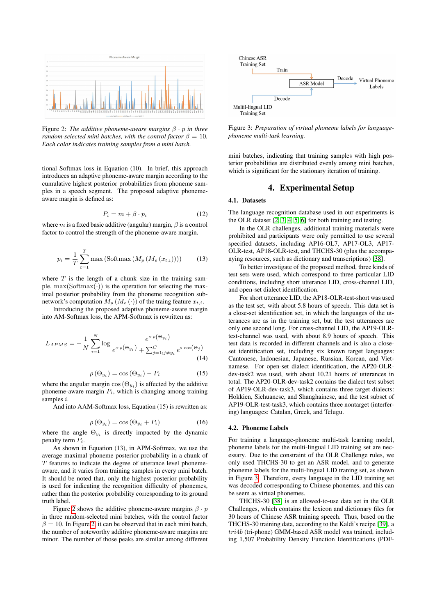<span id="page-2-0"></span>

Figure 2: *The additive phoneme-aware margins* β · p *in three random-selected mini batches, with the control factor*  $\beta = 10$ *. Each color indicates training samples from a mini batch.*

tional Softmax loss in Equation (10). In brief, this approach introduces an adaptive phoneme-aware margin according to the cumulative highest posterior probabilities from phoneme samples in a speech segment. The proposed adaptive phonemeaware margin is defined as:

$$
P_i = m + \beta \cdot p_i \tag{12}
$$

where m is a fixed basic additive (angular) margin,  $\beta$  is a control factor to control the strength of the phoneme-aware margin.

$$
p_i = \frac{1}{T} \sum_{t=1}^{T} \max \left( \text{Softmax} \left( M_p \left( M_e \left( x_{t,i} \right) \right) \right) \right) \tag{13}
$$

where  $T$  is the length of a chunk size in the training sample,  $\max(\text{Softmax}(\cdot))$  is the operation for selecting the maximal posterior probability from the phoneme recognition subnetwork's computation  $M_p$   $(M_e (\cdot))$  of the traing feature  $x_{t,i}$ .

Introducing the proposed adaptive phoneme-aware margin into AM-Softmax loss, the APM-Softmax is rewritten as:

$$
L_{APMS} = -\frac{1}{N} \sum_{i=1}^{N} \log \frac{e^{s \cdot \rho(\Theta_{y_i})}}{e^{s \cdot \rho(\Theta_{y_i})} + \sum_{j=1; j \neq y_i}^{C} e^{s \cdot \cos(\Theta_j)}} (14)
$$

$$
\rho(\Theta_{y_i}) = \cos(\Theta_{y_i}) - P_i \tag{15}
$$

where the angular margin  $cos(\Theta_{y_i})$  is affected by the additive phoneme-aware margin  $P_i$ , which is changing among training samples *i*.

And into AAM-Softmax loss, Equation (15) is rewritten as:

$$
\rho\left(\Theta_{y_i}\right) = \cos\left(\Theta_{y_i} + P_i\right) \tag{16}
$$

where the angle  $\Theta_{y_i}$  is directly impacted by the dynamic penalty term  $P_i$ .

As shown in Equation (13), in APM-Softmax, we use the average maximal phoneme posterior probability in a chunk of  $T$  features to indicate the degree of utterance level phonemeaware, and it varies from training samples in every mini batch. It should be noted that, only the highest posterior probability is used for indicating the recognition difficulty of phonemes, rather than the posterior probability corresponding to its ground truth label.

Figure [2](#page-2-0) shows the additive phoneme-aware margins  $\beta \cdot p$ in three random-selected mini batches, with the control factor  $\beta = 10$ . In Figure [2,](#page-2-0) it can be observed that in each mini batch, the number of noteworthy additive phoneme-aware margins are minor. The number of those peaks are similar among different

<span id="page-2-1"></span>

Figure 3: *Preparation of virtual phoneme labels for languagephoneme multi-task learning.*

mini batches, indicating that training samples with high posterior probabilities are distributed evenly among mini batches, which is significant for the stationary iteration of training.

## 4. Experimental Setup

#### 4.1. Datasets

The language recognition database used in our experiments is the OLR dataset [\[2,](#page-4-1) [3,](#page-4-2) [4,](#page-4-3) [5,](#page-4-4) [6\]](#page-4-5) for both training and testing.

In the OLR challenges, additional training materials were prohibited and participants were only permitted to use several specified datasets, including AP16-OL7, AP17-OL3, AP17- OLR-test, AP18-OLR-test, and THCHS-30 (plus the accompanying resources, such as dictionary and transcriptions) [\[38\]](#page-4-37).

To better investigate of the proposed method, three kinds of test sets were used, which correspond to three particular LID conditions, including short utterance LID, cross-channel LID, and open-set dialect identification.

For short utterance LID, the AP18-OLR-test-short was used as the test set, with about 5.8 hours of speech. This data set is a close-set identification set, in which the languages of the utterances are as in the training set, but the test utterances are only one second long. For cross-channel LID, the AP19-OLRtest-channel was used, with about 8.9 hours of speech. This test data is recorded in different channels and is also a closeset identification set, including six known target languages: Cantonese, Indonesian, Japanese, Russian, Korean, and Vietnamese. For open-set dialect identification, the AP20-OLRdev-task2 was used, with about 10.21 hours of utterances in total. The AP20-OLR-dev-task2 contains the dialect test subset of AP19-OLR-dev-task3, which contains three target dialects: Hokkien, Sichuanese, and Shanghainese, and the test subset of AP19-OLR-test-task3, which contains three nontarget (interfering) languages: Catalan, Greek, and Telugu.

#### 4.2. Phoneme Labels

For training a language-phoneme multi-task learning model, phoneme labels for the multi-lingual LID training set are necessary. Due to the constraint of the OLR Challenge rules, we only used THCHS-30 to get an ASR model, and to generate phoneme labels for the multi-lingual LID traning set, as shown in Figure [3.](#page-2-1) Therefore, every language in the LID training set was decoded corresponding to Chinese phonemes, and this can be seem as virtual phonemes.

THCHS-30 [\[38\]](#page-4-37) is an allowed-to-use data set in the OLR Challenges, which contains the lexicon and dictionary files for 30 hours of Chinese ASR training speech. Thus, based on the THCHS-30 training data, according to the Kaldi's recipe [\[39\]](#page-4-38), a tri4b (tri-phone) GMM-based ASR model was trained, including 1,507 Probability Density Function Identifications (PDF-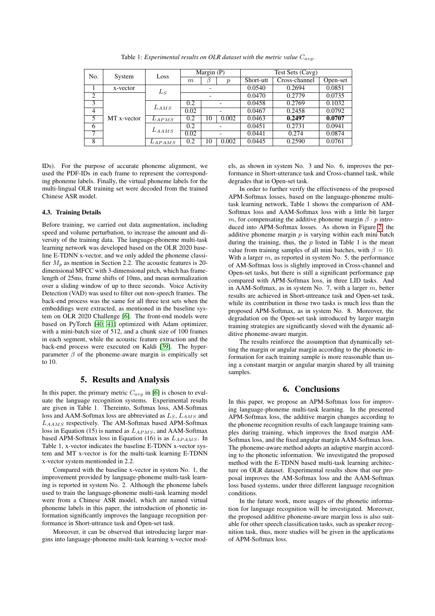| No.            | System      | Loss        | Margin (P)               |    |                  | Test Sets (Cavg) |               |          |
|----------------|-------------|-------------|--------------------------|----|------------------|------------------|---------------|----------|
|                |             |             | m                        |    | $\boldsymbol{p}$ | Short-utt        | Cross-channel | Open-set |
|                | x-vector    | $L_S$       |                          |    |                  | 0.0540           | 0.2694        | 0.0851   |
| 2              | MT x-vector |             | $\overline{\phantom{0}}$ |    |                  | 0.0470           | 0.2779        | 0.0735   |
| 3              |             | $L_{AMS}$   | 0.2                      |    |                  | 0.0458           | 0.2769        | 0.1032   |
| $\overline{4}$ |             |             | 0.02                     |    |                  | 0.0467           | 0.2458        | 0.0792   |
| 5              |             | $L_{APMS}$  | 0.2                      | 10 | 0.002            | 0.0463           | 0.2497        | 0.0707   |
| 6              |             | $L_{AAMS}$  | 0.2                      |    |                  | 0.0451           | 0.2731        | 0.0941   |
| 7              |             |             | 0.02                     |    |                  | 0.0441           | 0.274         | 0.0874   |
| 8              |             | $L_{APAMS}$ | 0.2                      | 10 | 0.002            | 0.0445           | 0.2590        | 0.0761   |

Table 1: *Experimental results on OLR dataset with the metric value*  $C_{avg}$ .

IDs). For the purpose of accurate phoneme alignment, we used the PDF-IDs in each frame to represent the corresponding phoneme labels. Finally, the virtual phoneme labels for the multi-lingual OLR training set were decoded from the trained Chinese ASR model.

### 4.3. Training Details

Before training, we carried out data augmentation, including speed and volume perturbation, to increase the amount and diversity of the training data. The language-phoneme multi-task learning network was developed based on the OLR 2020 baseline E-TDNN x-vector, and we only added the phoneme classifier  $M_p$  as mention in Section 2.2. The acoustic features is 20dimensional MFCC with 3-dimensional pitch, which has framelength of 25ms, frame shifts of 10ms, and mean normalization over a sliding window of up to three seconds. Voice Activity Detection (VAD) was used to filter out non-speech frames. The back-end process was the same for all three test sets when the embeddings were extracted, as mentioned in the baseline system on OLR 2020 Challenge [\[6\]](#page-4-5). The front-end models were based on PyTorch [\[40,](#page-5-0) [41\]](#page-5-1) optimized with Adam optimizer, with a mini-batch size of 512, and a chunk size of 100 frames in each segment, while the acoustic feature extraction and the back-end process were executed on Kaldi [\[39\]](#page-4-38). The hyperparameter  $\beta$  of the phoneme-aware margin is empirically set to 10.

## 5. Results and Analysis

In this paper, the primary metric  $C_{avg}$  in [\[6\]](#page-4-5) is chosen to evaluate the language recognition systems. Experimental results are given in Table 1. Thereinto, Softmax loss, AM-Softmax loss and AAM-Softmax loss are abbreviated as  $L_S$ ,  $L_{AMS}$  and LAAMS respectively. The AM-Softmax based APM-Softmax loss in Equation (15) is named as  $L_{APMS}$ , and AAM-Softmax based APM-Softmax loss in Equation (16) is as  $L_{APAMS}$ . In Table 1, x-vector indicates the baseline E-TDNN x-vector system and MT x-vector is for the multi-task learning E-TDNN x-vector system mentionded in 2.2.

Compared with the baseline x-vector in system No. 1, the improvement provided by language-phoneme multi-task learning is reported in system No. 2. Although the phoneme labels used to train the language-phoneme multi-task learning model were from a Chinese ASR model, which are named virtual phoneme labels in this paper, the introduction of phonetic information significantly improves the language recognition performance in Short-uttrance task and Open-set task.

Moreover, it can be observed that introducing larger margins into language-phoneme multi-task learning x-vector models, as shown in system No. 3 and No. 6, improves the performance in Short-utterance task and Cross-channel task, while degrades that in Open-set task.

In order to further verify the effectiveness of the proposed APM-Softmax losses, based on the language-phoneme multitask learning network, Table 1 shows the comparison of AM-Softmax loss and AAM-Softmax loss with a little bit larger m, for compensating the additive phoneme margin  $\beta \cdot p$  introduced into APM-Softmax losses. As shown in Figure [2,](#page-2-0) the additive phoneme margin  $p$  is varying within each mini batch during the training, thus, the  $p$  listed in Table 1 is the mean value from training samples of all mini batches, with  $\beta = 10$ . With a larger  $m$ , as reported in system No. 5, the performance of AM-Softmax loss is slightly improved in Cross-channel and Open-set tasks, but there is still a significant performance gap compared with APM-Softmax loss, in three LID tasks. And in AAM-Softmax, as in system No. 7, with a larger m, better results are achieved in Short-uttreance task and Open-set task, while its contribution in those two tasks is much less than the proposed APM-Softmax, as in system No. 8. Moreover, the degradation on the Open-set task introduced by larger margin training strategies are significantly sloved with the dynamic additive phoneme-aware margin.

The results reinforce the assumption that dynamically setting the margin or angular margin according to the phonetic information for each training sample is more reasonable than using a constant margin or angular margin shared by all training samples.

### 6. Conclusions

In this paper, we propose an APM-Softmax loss for improving language-phoneme multi-task learning. In the presented APM-Softmax loss, the additive margin changes according to the phoneme recognition results of each langauge training samples during training, which improves the fixed margin AM-Softmax loss, and the fixed angular margin AAM-Softmax loss. The phoneme-aware method adopts an adaptive margin according to the phonetic information. We investigated the proposed method with the E-TDNN based multi-task learning architecture on OLR dataset. Experimental results show that our proposal improves the AM-Softmax loss and the AAM-Softmax loss based systems, under three different language recognition conditions.

In the future work, more usages of the phonetic information for language recognition will be investigated. Moreover, the proposed additive phoneme-aware margin loss is also suitable for other speech classification tasks, such as speaker recognition task, thus, more studies will be given in the applications of APM-Softmax loss.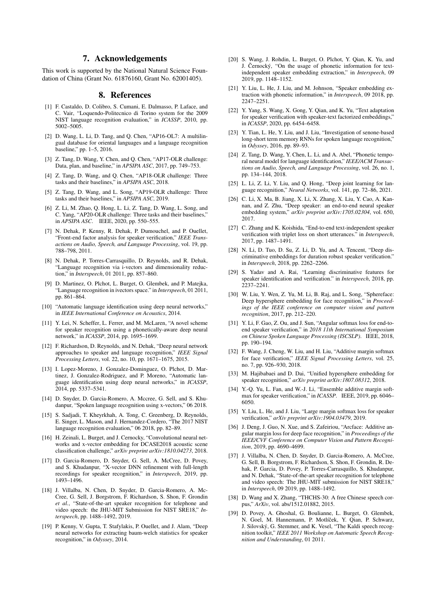## 7. Acknowledgements

This work is supported by the National Natural Science Foundation of China (Grant No. 61876160, Grant No. 62001405).

### 8. References

- <span id="page-4-0"></span>[1] F. Castaldo, D. Colibro, S. Cumani, E. Dalmasso, P. Laface, and C. Vair, "Loquendo-Politecnico di Torino system for the 2009 NIST language recognition evaluation," in *ICASSP*, 2010, pp. 5002–5005.
- <span id="page-4-1"></span>[2] D. Wang, L. Li, D. Tang, and Q. Chen, "AP16-OL7: A multilingual database for oriental languages and a language recognition baseline," pp. 1–5, 2016.
- <span id="page-4-2"></span>[3] Z. Tang, D. Wang, Y. Chen, and Q. Chen, "AP17-OLR challenge: Data, plan, and baseline," in *APSIPA ASC*, 2017, pp. 749–753.
- <span id="page-4-3"></span>[4] Z. Tang, D. Wang, and Q. Chen, "AP18-OLR challenge: Three tasks and their baselines," in *APSIPA ASC*, 2018.
- <span id="page-4-4"></span>[5] Z. Tang, D. Wang, and L. Song, "AP19-OLR challenge: Three tasks and their baselines," in *APSIPA ASC*, 2019.
- <span id="page-4-5"></span>[6] Z. Li, M. Zhao, Q. Hong, L. Li, Z. Tang, D. Wang, L. Song, and C. Yang, "AP20-OLR challenge: Three tasks and their baselines," in *APSIPA ASC*. IEEE, 2020, pp. 550–555.
- <span id="page-4-6"></span>[7] N. Dehak, P. Kenny, R. Dehak, P. Dumouchel, and P. Ouellet, "Front-end factor analysis for speaker verification," *IEEE Transactions on Audio, Speech, and Language Processing*, vol. 19, pp. 788–798, 2011.
- <span id="page-4-7"></span>[8] N. Dehak, P. Torres-Carrasquillo, D. Reynolds, and R. Dehak, "Language recognition via i-vectors and dimensionality reduction," in *Interspeech*, 01 2011, pp. 857–860.
- <span id="page-4-8"></span>[9] D. Martinez, O. Plchot, L. Burget, O. Glembek, and P. Matejka, "Language recognition in ivectors space." in *Interspeech*, 01 2011, pp. 861–864.
- <span id="page-4-9"></span>[10] "Automatic language identification using deep neural networks," in *IEEE International Conference on Acoustics*, 2014.
- <span id="page-4-10"></span>[11] Y. Lei, N. Scheffer, L. Ferrer, and M. McLaren, "A novel scheme for speaker recognition using a phonetically-aware deep neural network," in *ICASSP*, 2014, pp. 1695–1699.
- <span id="page-4-11"></span>[12] F. Richardson, D. Reynolds, and N. Dehak, "Deep neural network approaches to speaker and language recognition," *IEEE Signal Processing Letters*, vol. 22, no. 10, pp. 1671–1675, 2015.
- <span id="page-4-12"></span>[13] I. Lopez-Moreno, J. Gonzalez-Dominguez, O. Plchot, D. Martinez, J. Gonzalez-Rodriguez, and P. Moreno, "Automatic language identification using deep neural networks," in *ICASSP*, 2014, pp. 5337–5341.
- <span id="page-4-13"></span>[14] D. Snyder, D. Garcia-Romero, A. Mccree, G. Sell, and S. Khudanpur, "Spoken language recognition using x-vectors," 06 2018.
- <span id="page-4-14"></span>[15] S. Sadjadi, T. Kheyrkhah, A. Tong, C. Greenberg, D. Reynolds, E. Singer, L. Mason, and J. Hernandez-Cordero, "The 2017 NIST language recognition evaluation," 06 2018, pp. 82–89.
- <span id="page-4-15"></span>[16] H. Zeinali, L. Burget, and J. Cernocky, "Convolutional neural networks and x-vector embedding for DCASE2018 acoustic scene classification challenge," *arXiv preprint arXiv:1810.04273*, 2018.
- <span id="page-4-16"></span>[17] D. Garcia-Romero, D. Snyder, G. Sell, A. McCree, D. Povey, and S. Khudanpur, "X-vector DNN refinement with full-length recordings for speaker recognition," in *Interspeech*, 2019, pp. 1493–1496.
- <span id="page-4-17"></span>[18] J. Villalba, N. Chen, D. Snyder, D. Garcia-Romero, A. Mc-Cree, G. Sell, J. Borgstrom, F. Richardson, S. Shon, F. Grondin *et al.*, "State-of-the-art speaker recognition for telephone and video speech: the JHU-MIT Submission for NIST SRE18," *Interspeech*, pp. 1488–1492, 2019.
- <span id="page-4-18"></span>[19] P. Kenny, V. Gupta, T. Stafylakis, P. Quellet, and J. Alam, "Deep neural networks for extracting baum-welch statistics for speaker recognition," in *Odyssey*, 2014.
- <span id="page-4-19"></span>[20] S. Wang, J. Rohdin, L. Burget, O. Plchot, Y. Qian, K. Yu, and J. Černocký, "On the usage of phonetic information for textindependent speaker embedding extraction," in *Interspeech*, 09 2019, pp. 1148–1152.
- <span id="page-4-20"></span>[21] Y. Liu, L. He, J. Liu, and M. Johnson, "Speaker embedding extraction with phonetic information," in *Interspeech*, 09 2018, pp. 2247–2251.
- <span id="page-4-21"></span>[22] Y. Yang, S. Wang, X. Gong, Y. Qian, and K. Yu, "Text adaptation for speaker verification with speaker-text factorized embeddings,' in *ICASSP*, 2020, pp. 6454–6458.
- <span id="page-4-22"></span>[23] Y. Tian, L. He, Y. Liu, and J. Liu, "Investigation of senone-based long-short term memory RNNs for spoken language recognition," in *Odyssey*, 2016, pp. 89–93.
- <span id="page-4-23"></span>[24] Z. Tang, D. Wang, Y. Chen, L. Li, and A. Abel, "Phonetic temporal neural model for language identification," *IEEE/ACM Transactions on Audio, Speech, and Language Processing*, vol. 26, no. 1, pp. 134–144, 2018.
- <span id="page-4-24"></span>[25] L. Li, Z. Li, Y. Liu, and Q. Hong, "Deep joint learning for language recognition," *Neural Networks*, vol. 141, pp. 72–86, 2021.
- <span id="page-4-25"></span>[26] C. Li, X. Ma, B. Jiang, X. Li, X. Zhang, X. Liu, Y. Cao, A. Kannan, and Z. Zhu, "Deep speaker: an end-to-end neural speaker embedding system," *arXiv preprint arXiv:1705.02304*, vol. 650, 2017.
- <span id="page-4-26"></span>[27] C. Zhang and K. Koishida, "End-to-end text-independent speaker verification with triplet loss on short utterances." in *Interspeech*, 2017, pp. 1487–1491.
- <span id="page-4-27"></span>[28] N. Li, D. Tuo, D. Su, Z. Li, D. Yu, and A. Tencent, "Deep discriminative embeddings for duration robust speaker verification." in *Interspeech*, 2018, pp. 2262–2266.
- <span id="page-4-28"></span>[29] S. Yadav and A. Rai, "Learning discriminative features for speaker identification and verification." in *Interspeech*, 2018, pp. 2237–2241.
- <span id="page-4-29"></span>[30] W. Liu, Y. Wen, Z. Yu, M. Li, B. Raj, and L. Song, "Sphereface: Deep hypersphere embedding for face recognition," in *Proceedings of the IEEE conference on computer vision and pattern recognition*, 2017, pp. 212–220.
- <span id="page-4-30"></span>[31] Y. Li, F. Gao, Z. Ou, and J. Sun, "Angular softmax loss for end-toend speaker verification," in *2018 11th International Symposium on Chinese Spoken Language Processing (ISCSLP)*. IEEE, 2018, pp. 190–194.
- <span id="page-4-31"></span>[32] F. Wang, J. Cheng, W. Liu, and H. Liu, "Additive margin softmax for face verification," *IEEE Signal Processing Letters*, vol. 25, no. 7, pp. 926–930, 2018.
- <span id="page-4-32"></span>[33] M. Hajibabaei and D. Dai, "Unified hypersphere embedding for speaker recognition," *arXiv preprint arXiv:1807.08312*, 2018.
- <span id="page-4-33"></span>[34] Y.-O. Yu, L. Fan, and W.-J. Li, "Ensemble additive margin softmax for speaker verification," in *ICASSP*. IEEE, 2019, pp. 6046– 6050.
- <span id="page-4-34"></span>[35] Y. Liu, L. He, and J. Liu, "Large margin softmax loss for speaker verification," *arXiv preprint arXiv:1904.03479*, 2019.
- <span id="page-4-35"></span>[36] J. Deng, J. Guo, N. Xue, and S. Zafeiriou, "Arcface: Additive angular margin loss for deep face recognition," in *Proceedings of the IEEE/CVF Conference on Computer Vision and Pattern Recognition*, 2019, pp. 4690–4699.
- <span id="page-4-36"></span>[37] J. Villalba, N. Chen, D. Snyder, D. Garcia-Romero, A. McCree, G. Sell, B. Borgstrom, F. Richardson, S. Shon, F. Grondin, R. Dehak, P. Garcia, D. Povey, P. Torres-Carrasquillo, S. Khudanpur, and N. Dehak, "State-of-the-art speaker recognition for telephone and video speech: The JHU-MIT submission for NIST SRE18," in *Interspeech*, 09 2019, pp. 1488–1492.
- <span id="page-4-37"></span>[38] D. Wang and X. Zhang, "THCHS-30: A free Chinese speech corpus," *ArXiv*, vol. abs/1512.01882, 2015.
- <span id="page-4-38"></span>[39] D. Povey, A. Ghoshal, G. Boulianne, L. Burget, O. Glembek, N. Goel, M. Hannemann, P. Motlíček, Y. Oian, P. Schwarz, J. Silovsky, G. Stemmer, and K. Vesel, "The Kaldi speech recog- ´ nition toolkit," *IEEE 2011 Workshop on Automatic Speech Recognition and Understanding*, 01 2011.